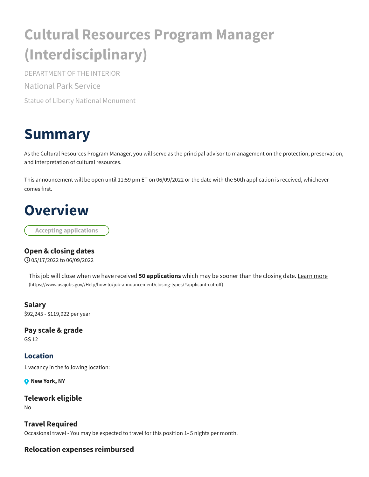# **Cultural Resources Program Manager (Interdisciplinary)**

DEPARTMENT OF THE INTERIOR National Park Service

Statue of Liberty National Monument

# **Summary**

As the Cultural Resources Program Manager, you will serve as the principal advisor to management on the protection, preservation, and interpretation of cultural resources.

This announcement will be open until 11:59 pm ET on 06/09/2022 or the date with the 50th application is received, whichever comes first.

# **Overview**

**Accepting applications**

### **Open & closing dates**

05/17/2022 to 06/09/2022

This job will close when we have received **50 applications** which may be sooner than the closing date. Learn more [\(https://www.usajobs.gov//Help/how-to/job-announcement/closing-types/#applicant-cut-off\)](https://www.usajobs.gov//Help/how-to/job-announcement/closing-types/#applicant-cut-off)

### **Salary**

\$92,245 - \$119,922 per year

**Pay scale & grade** GS 12

1 vacancy in the following location:

**New York, NY**

**Location**

**Telework eligible**

No

**Travel Required** Occasional travel - You may be expected to travel for this position 1- 5 nights per month.

### **Relocation expenses reimbursed**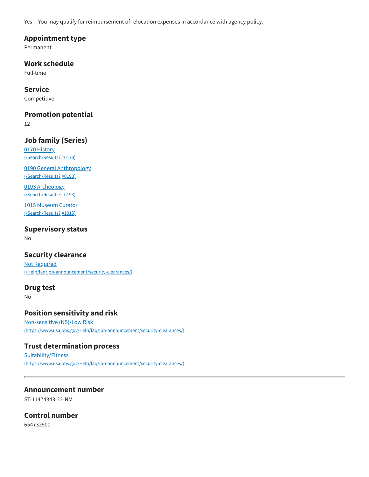Yes— You may qualify for reimbursement of relocation expenses in accordance with agency policy.

### **Appointment type**

Permanent

### **Work schedule**

Full-time

### **Service**

Competitive

### **Promotion potential**

12

### **Job family (Series)**

0170 History [\(/Search/Results?j=0170\)](https://www.usajobs.gov/Search/Results?j=0170)

0190 General Anthropology [\(/Search/Results?j=0190\)](https://www.usajobs.gov/Search/Results?j=0190)

0193 Archeology [\(/Search/Results?j=0193\)](https://www.usajobs.gov/Search/Results?j=0193)

1015 Museum Curator [\(/Search/Results?j=1015\)](https://www.usajobs.gov/Search/Results?j=1015)

### **Supervisory status**

No

### **Security clearance**

Not Required [\(/Help/faq/job-announcement/security-clearances/\)](https://www.usajobs.gov/Help/faq/job-announcement/security-clearances/)

### **Drug test**

No

### **Position sensitivity and risk**

Non-sensitive (NS)/Low Risk [\(https://www.usajobs.gov/Help/faq/job-announcement/security-clearances/\)](https://www.usajobs.gov/Help/faq/job-announcement/security-clearances/)

### **Trust determination process**

Suitability/Fitness [\(https://www.usajobs.gov/Help/faq/job-announcement/security-clearances/\)](https://www.usajobs.gov/Help/faq/job-announcement/security-clearances/)

### **Announcement number**

ST-11474343-22-NM

**Control number** 654732900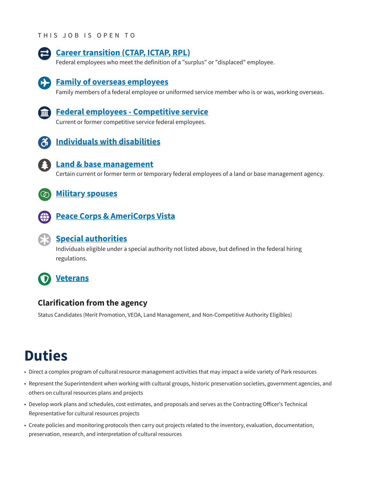#### THIS JOB IS OPEN TO



## **Career [transition](https://www.usajobs.gov/Help/working-in-government/unique-hiring-paths/federal-employees/#transition) (CTAP, ICTAP, RPL)**

Federal employees who meet the definition of a "surplus" or "displaced" employee.



### **Family of overseas [employees](https://www.usajobs.gov/Help/working-in-government/unique-hiring-paths/family-of-overseas-employees/)**

Family members of a federal employee or uniformed service member who is or was, working overseas.



## **Federal employees - [Competitive](https://www.usajobs.gov/Help/working-in-government/unique-hiring-paths/federal-employees/) service**

Current or former competitive service federal employees.



## **[Individuals](https://www.usajobs.gov/Help/working-in-government/unique-hiring-paths/individuals-with-disabilities/) with disabilities**



### **Land & base [management](https://www.usajobs.gov/Help/working-in-government/unique-hiring-paths/federal-employees/land-management/)**

Certain current or former term or temporary federal employees of a land or base management agency.



## **Military [spouses](https://www.usajobs.gov/Help/working-in-government/unique-hiring-paths/military-spouses/)**



## **Peace Corps & [AmeriCorps](https://www.usajobs.gov/Help/working-in-government/unique-hiring-paths/peace-corps/) Vista**



### **Special [authorities](https://www.usajobs.gov/Help/working-in-government/unique-hiring-paths/special-authorities)**

Individuals eligible under a special authority not listed above, but defined in the federal hiring regulations.



## **Clarification from the agency**

Status Candidates (Merit Promotion, VEOA, Land Management, and Non-Competitive Authority Eligibles)

# **Duties**

- Direct a complex program of cultural resource management activities that may impact a wide variety of Park resources
- Represent the Superintendent when working with cultural groups, historic preservation societies, government agencies, and others on cultural resources plans and projects
- Develop work plans and schedules, cost estimates, and proposals and serves as the Contracting Officer's Technical Representative for cultural resources projects
- Create policies and monitoring protocols then carry out projects related to the inventory, evaluation, documentation, preservation, research, and interpretation of cultural resources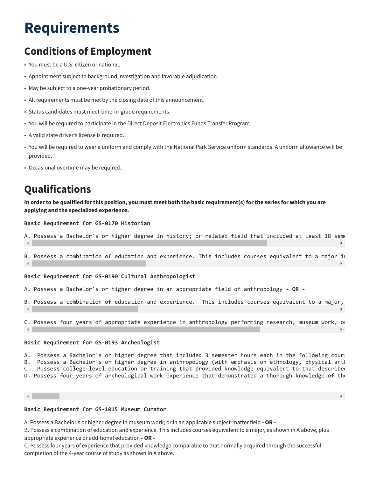# **Requirements**

# **Conditions of Employment**

- You must be a U.S. citizen or national.
- Appointment subject to background investigation and favorable adjudication.
- May be subject to a one-year probationary period.
- All requirements must be met by the closing date of this announcement.
- Status candidates must meet-time-in-grade requirements.
- You will be required to participate in the Direct Deposit Electronics Funds Transfer Program.
- A valid state driver's license is required.
- You will be required to wear a uniform and comply with the National Park Service uniform standards. A uniform allowance will be provided.
- Occasional overtime may be required.

# **Qualifications**

In order to be qualified for this position, you must meet both the basic requirement(s) for the series for which you are **applying and the specialized experience.**

#### **Basic Requirement for GS-0170 Historian**

A. Possess a Bachelor's or higher degree in history; or related field that included at least 18 seme  $\blacktriangleleft$ 

B. Possess a combination of education and experience. This includes courses equivalent to a major in

#### **Basic Requirement for GS-0190 Cultural Anthropologist**

A. Possess a Bachelor's or higher degree in an appropriate field of anthropology **- OR -**

B. Possess a combination of education and experience. This includes courses equivalent to a major,  $\left| \cdot \right|$ 

C. Possess four years of appropriate experience in anthropology performing research, museum work, or

#### **Basic Requirement for GS-0193 Archeologist**

A. Possess a Bachelor's or higher degree that included 3 semester hours each in the following cours B. Possess a Bachelor's or higher degree in anthropology (with emphasis on ethnology, physical anth C. Possess college-level education or training that provided knowledge equivalent to that described D. Possess four years of archeological work experience that demonstrated a thorough knowledge of the

 $\mathbf{E}$ 

 $\overline{A}$ 

#### **Basic Requirement for GS-1015 Museum Curator**

A. Possess a Bachelor's or higher degree in museum work; or in an applicable subject-matter field **- OR -**

B. Possess a combination of education and experience. This includes courses equivalent to a major, as shown in A above, plus appropriate experience or additional education **- OR -**

C. Possess four years of experience that provided knowledge comparable to that normally acquired through the successful completion of the 4-year course of study as shown in A above.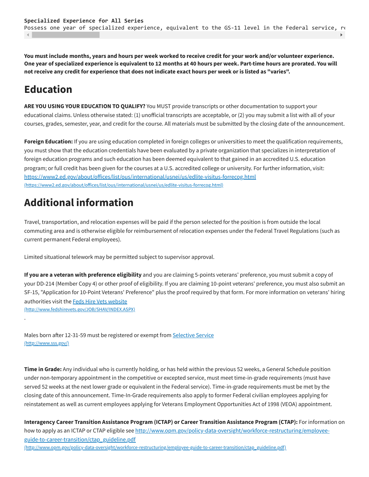You must include months, years and hours per week worked to receive credit for your work and/or volunteer experience. One year of specialized experience is equivalent to 12 months at 40 hours per week. Part-time hours are prorated. You will not receive any credit for experience that does not indicate exact hours per week or is listed as "varies".

# **Education**

.

**ARE YOU USING YOUR EDUCATION TO QUALIFY?** You MUST provide transcripts or other documentation to support your educational claims. Unless otherwise stated: (1) unofficial transcripts are acceptable, or (2) you may submit a list with all of your courses, grades, semester, year, and credit for the course. All materials must be submitted by the closing date of the announcement.

**Foreign Education:** If you are using education completed in foreign colleges or universities to meet the qualification requirements, you must show that the education credentials have been evaluated by a private organization that specializes in interpretation of foreign education programs and such education has been deemed equivalent to that gained in an accredited U.S. education program; or full credit has been given for the courses at a U.S. accredited college or university. For further information, visit: <https://www2.ed.gov/about/offices/list/ous/international/usnei/us/edlite-visitus-forrecog.html> (https://www2.ed.gov/about/offices/list/ous/international/usnei/us/edlite-visitus-forrecog.html)

# **Additional information**

Travel, transportation, and relocation expenses will be paid if the person selected for the position is from outside the local commuting area and is otherwise eligible for reimbursement of relocation expenses under the Federal Travel Regulations (such as current permanent Federal employees).

Limited situational telework may be permitted subject to supervisor approval.

**If you are a veteran with preference eligibility** and you are claiming 5-points veterans' preference, you must submit a copy of your DD-214 (Member Copy 4) or other proof of eligibility. If you are claiming 10-point veterans' preference, you must also submit an SF-15, "Application for 10-Point Veterans' Preference" plus the proof required by that form. For more information on veterans' hiring authorities visit the Feds Hire Vets website [\(http://www.fedshirevets.gov/JOB/SHAV/INDEX.ASPX\)](http://www.fedshirevets.gov/JOB/SHAV/INDEX.ASPX)

Males born after 12-31-59 must be registered or exempt from Selective Service [\(http://www.sss.gov/\)](http://www.sss.gov/)

**Time in Grade:** Any individual who is currently holding, or has held within the previous 52 weeks, a General Schedule position under non-temporary appointment in the competitive or excepted service, must meet time-in-grade requirements (must have served 52 weeks at the next lower grade or equivalent in the Federal service). Time-in-grade requirements must be met by the closing date of this announcement. Time-In-Grade requirements also apply to former Federal civilian employees applying for reinstatement as well as current employees applying for Veterans Employment Opportunities Act of 1998 (VEOA) appointment.

**Interagency Career Transition Assistance Program (ICTAP) or Career Transition Assistance Program (CTAP):** For information on how to apply as an ICTAP or CTAP eligible see http://www.opm.gov/policy-data-oversight/workforce-restructuring/employeeguide-to-career-transition/ctap\_guideline.pdf [\(http://www.opm.gov/policy-data-oversight/workforce-restructuring/employee-guide-to-career-transition/ctap\\_guideline.pdf\)](http://www.opm.gov/policy-data-oversight/workforce-restructuring/employee-guide-to-career-transition/ctap_guideline.pdf)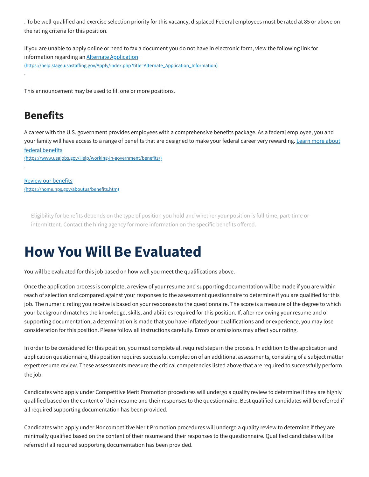. To be well-qualified and exercise selection priority for this vacancy, displaced Federal employees must be rated at 85 or above on the rating criteria for this position.

If you are unable to apply online or need to fax a document you do not have in electronic form, view the following link for information regarding an Alternate Application [\(https://help.stage.usastaffing.gov/Apply/index.php?title=Alternate\\_Application\\_Information\)](https://help.stage.usastaffing.gov/Apply/index.php?title=Alternate_Application_Information)

This announcement may be used to fill one or more positions.

## **Benefits**

.

.

A career with the U.S. government provides employees with a comprehensive benefits package. As a federal employee, you and your family will have access to a range of benefits that are designed to make your federal career very rewarding. Learn more about federal benefits

[\(https://www.usajobs.gov/Help/working-in-government/benefits/\)](https://www.usajobs.gov/Help/working-in-government/benefits/)

Review our benefits [\(https://home.nps.gov/aboutus/benefits.htm\)](https://home.nps.gov/aboutus/benefits.htm)

Eligibility for benefits depends on the type of position you hold and whether your position is full-time, part-time or intermittent. Contact the hiring agency for more information on the specific benefits offered.

# **How You Will Be Evaluated**

You will be evaluated for this job based on how well you meet the qualifications above.

Once the application process is complete, a review of your resume and supporting documentation will be made if you are within reach of selection and compared against your responses to the assessment questionnaire to determine if you are qualified for this job. The numeric rating you receive is based on your responses to the questionnaire. The score is a measure of the degree to which your background matches the knowledge, skills, and abilities required for this position. If, after reviewing your resume and or supporting documentation, a determination is made that you have inflated your qualifications and or experience, you may lose consideration for this position. Please follow all instructions carefully. Errors or omissions may affect your rating.

In order to be considered for this position, you must complete all required steps in the process. In addition to the application and application questionnaire, this position requires successful completion of an additional assessments, consisting of a subject matter expert resume review. These assessments measure the critical competencies listed above that are required to successfully perform the job.

Candidates who apply under Competitive Merit Promotion procedures will undergo a quality review to determine if they are highly qualified based on the content of their resume and their responses to the questionnaire. Best qualified candidates will be referred if all required supporting documentation has been provided.

Candidates who apply under Noncompetitive Merit Promotion procedures will undergo a quality review to determine if they are minimally qualified based on the content of their resume and their responses to the questionnaire. Qualified candidates will be referred if all required supporting documentation has been provided.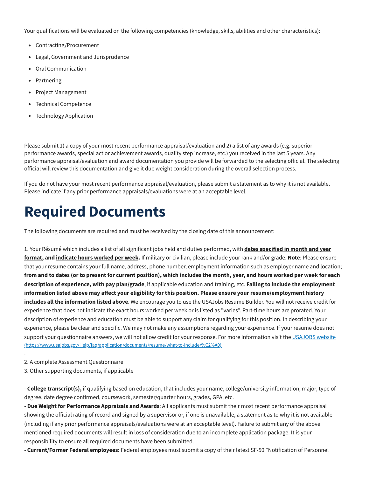Your qualifications will be evaluated on the following competencies (knowledge, skills, abilities and other characteristics):

- Contracting/Procurement
- Legal, Government and Jurisprudence
- Oral Communication
- Partnering
- Project Management
- Technical Competence
- Technology Application

Please submit 1) a copy of your most recent performance appraisal/evaluation and 2) a list of any awards (e.g. superior performance awards, special act or achievement awards, quality step increase, etc.) you received in the last 5 years. Any performance appraisal/evaluation and award documentation you provide will be forwarded to the selecting official. The selecting official will review this documentation and give it due weight consideration during the overall selection process.

If you do not have your most recent performance appraisal/evaluation, please submit a statement as to why it is not available. Please indicate if any prior performance appraisals/evaluations were at an acceptable level.

# **Required Documents**

The following documents are required and must be received by the closing date of this announcement:

1. Your Résumé which includes a list of all significant jobs held and duties performed, with **dates specified in month and year format, and indicate hours worked per week.** If military or civilian, please include your rank and/or grade. **Note**: Please ensure that your resume contains your full name, address, phone number, employment information such as employer name and location; from and to dates (or to present for current position), which includes the month, year, and hours worked per week for each **description of experience, with pay plan/grade**, if applicable education and training, etc. **Failing to include the employment information listed above may affect your eligibility for this position. Please ensure your resume/employment history includes all the information listed above**. We encourage you to use the USAJobs Resume Builder. You will not receive credit for experience that does not indicate the exact hours worked per week or is listed as "varies". Part-time hours are prorated. Your description of experience and education must be able to support any claim for qualifying for this position. In describing your experience, please be clear and specific. We may not make any assumptions regarding your experience. If your resume does not support your questionnaire answers, we will not allow credit for your response. For more information visit the USAJOBS website [\(https://www.usajobs.gov/Help/faq/application/documents/resume/what-to-include/%C2%A0\)](https://www.usajobs.gov/Help/faq/application/documents/resume/what-to-include/%C2%A0)

2. A complete Assessment Questionnaire

.

3. Other supporting documents, if applicable

- **College transcript(s),** if qualifying based on education, that includes your name, college/university information, major, type of degree, date degree confirmed, coursework, semester/quarter hours, grades, GPA, etc.

- **Due Weight for Performance Appraisals and Awards**: All applicants must submit their most recent performance appraisal showing the official rating of record and signed by a supervisor or, if one is unavailable, a statement as to why it is not available (including if any prior performance appraisals/evaluations were at an acceptable level). Failure to submit any of the above mentioned required documents will result in loss of consideration due to an incomplete application package. It is your responsibility to ensure all required documents have been submitted.

- **Current/Former Federal employees:** Federal employees must submit a copy of their latest SF-50 "Notification of Personnel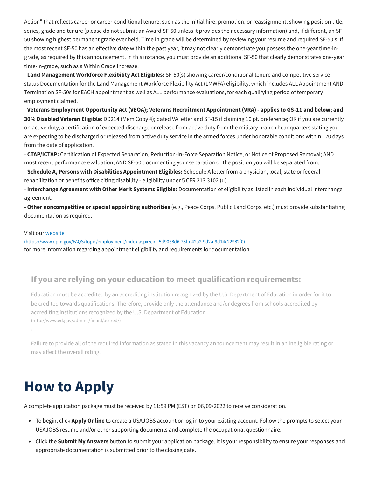Action" that reflects career or career-conditional tenure, such as the initial hire, promotion, or reassignment, showing position title, series, grade and tenure (please do not submit an Award SF-50 unless it provides the necessary information) and, if different, an SF-50 showing highest permanent grade ever held. Time in grade will be determined by reviewing your resume and required SF-50's. If the most recent SF-50 has an effective date within the past year, it may not clearly demonstrate you possess the one-year time-ingrade, as required by this announcement. In this instance, you must provide an additional SF-50 that clearly demonstrates one-year time-in-grade, such as a Within Grade Increase.

- **Land Management Workforce Flexibility Act Eligibles:** SF-50(s) showing career/conditional tenure and competitive service status Documentation for the Land Management Workforce Flexibility Act (LMWFA) eligibility, which includes ALL Appointment AND Termination SF-50s for EACH appointment as well as ALL performance evaluations, for each qualifying period of temporary employment claimed.

- Veterans Employment Opportunity Act (VEOA); Veterans Recruitment Appointment (VRA) - applies to GS-11 and below; and **30% Disabled Veteran Eligible**: DD214 (Mem Copy 4); dated VA letter and SF-15 if claiming 10 pt. preference; OR if you are currently on active duty, a certification of expected discharge or release from active duty from the military branch headquarters stating you are expecting to be discharged or released from active duty service in the armed forces under honorable conditions within 120 days from the date of application.

- **CTAP/ICTAP:** Certification of Expected Separation, Reduction-In-Force Separation Notice, or Notice of Proposed Removal; AND most recent performance evaluation; AND SF-50 documenting your separation or the position you will be separated from.

- **Schedule A, Persons with Disabilities Appointment Eligibles:** Schedule A letter from a physician, local, state or federal rehabilitation or benefits office citing disability - eligibility under 5 CFR 213.3102 (u).

- **Interchange Agreement with Other Merit Systems Eligible:** Documentation of eligibility as listed in each individual interchange agreement.

- **Other noncompetitive or special appointing authorities** (e.g., Peace Corps, Public Land Corps, etc.) must provide substantiating documentation as required.

#### Visit our website

.

[\(https://www.opm.gov/FAQS/topic/employment/index.aspx?cid=5d9058d6-78fb-42a2-9d2a-9d14c22982f0\)](https://www.opm.gov/FAQS/topic/employment/index.aspx?cid=5d9058d6-78fb-42a2-9d2a-9d14c22982f0) for more information regarding appointment eligibility and requirements for documentation.

## **If you are relying on your education to meet qualification requirements:**

Education must be accredited by an accrediting institution recognized by the U.S. Department of Education in order for it to be credited towards qualifications. Therefore, provide only the attendance and/or degrees from schools accredited by accrediting institutions recognized by the U.S. Department of Education [\(http://www.ed.gov/admins/finaid/accred/\)](http://www.ed.gov/admins/finaid/accred/)

Failure to provide all of the required information as stated in this vacancy announcement may result in an ineligible rating or may affect the overall rating.

# **How to Apply**

A complete application package must be received by 11:59 PM (EST) on 06/09/2022 to receive consideration.

- To begin, click **Apply Online** to create a USAJOBS account or log in to your existing account. Follow the prompts to select your USAJOBS resume and/or other supporting documents and complete the occupational questionnaire.
- Click the **Submit My Answers** button to submit your application package. It is your responsibility to ensure your responses and appropriate documentation is submitted prior to the closing date.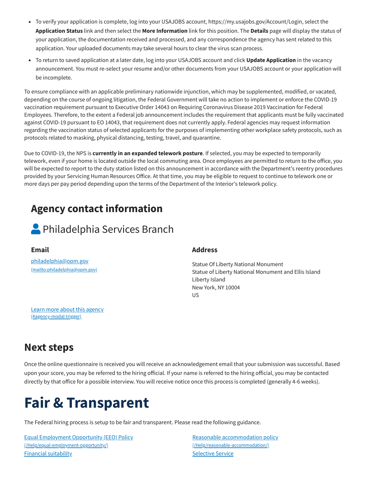- To verify your application is complete, log into your USAJOBS account, https://my.usajobs.gov/Account/Login, select the **Application Status** link and then select the **More Information** link for this position. The **Details** page will display the status of your application, the documentation received and processed, and any correspondence the agency has sent related to this application. Your uploaded documents may take several hours to clear the virus scan process.
- To return to saved application at a later date, log into your USAJOBS account and click **Update Application** in the vacancy announcement. You must re-select your resume and/or other documents from your USAJOBS account or your application will be incomplete.

To ensure compliance with an applicable preliminary nationwide injunction, which may be supplemented, modified, or vacated, depending on the course of ongoing litigation, the Federal Government will take no action to implement or enforce the COVID-19 vaccination requirement pursuant to Executive Order 14043 on Requiring Coronavirus Disease 2019 Vaccination for Federal Employees. Therefore, to the extent a Federal job announcement includes the requirement that applicants must be fully vaccinated against COVID-19 pursuant to EO 14043, that requirement does not currently apply. Federal agencies may request information regarding the vaccination status of selected applicants for the purposes of implementing other workplace safety protocols, such as protocols related to masking, physical distancing, testing, travel, and quarantine.

Due to COVID-19, the NPS is **currently in an expanded telework posture**. If selected, you may be expected to temporarily telework, even if your home is located outside the local commuting area. Once employees are permitted to return to the office, you will be expected to report to the duty station listed on this announcement in accordance with the Department's reentry procedures provided by your Servicing Human Resources Office. At that time, you may be eligible to request to continue to telework one or more days per pay period depending upon the terms of the Department of the Interior's telework policy.

# **Agency contact information**

# Philadelphia Services Branch

#### **Email**

[philadelphia@opm.gov](mailto:philadelphia@opm.gov) (mailto:philadelphia@opm.gov)

#### **Address**

Statue Of Liberty National Monument Statue of Liberty National Monument and Ellis Island Liberty Island New York, NY 10004 US

Learn more about this agency (#agency-modal-trigger)

## **Next steps**

Once the online questionnaire is received you will receive an acknowledgement email that your submission was successful. Based upon your score, you may be referred to the hiring official. If your name is referred to the hiring official, you may be contacted directly by that office for a possible interview. You will receive notice once this process is completed (generally 4-6 weeks).

# **Fair & Transparent**

The Federal hiring process is setup to be fair and transparent. Please read the following guidance.

Equal Employment Opportunity (EEO) Policy [\(/Help/equal-employment-opportunity/\)](https://www.usajobs.gov/Help/equal-employment-opportunity/) Financial [suitability](https://www.usajobs.gov/Help/working-in-government/fair-and-transparent/financial-suitability/) [Selective](https://www.usajobs.gov/Help/working-in-government/fair-and-transparent/selective-service/) Service

Reasonable accommodation policy [\(/Help/reasonable-accommodation/\)](https://www.usajobs.gov/Help/reasonable-accommodation/)